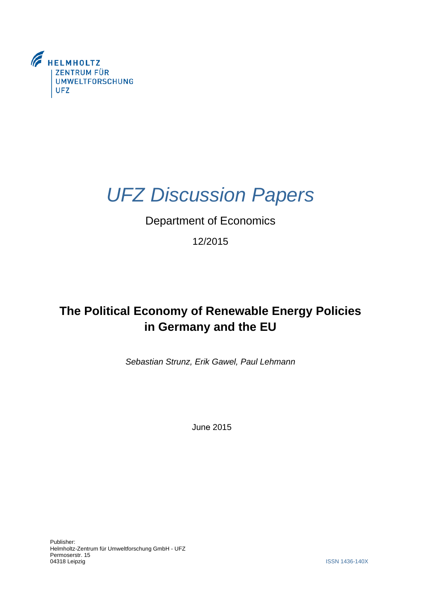

# *UFZ Discussion Papers*

# Department of Economics

12/2015

# **The Political Economy of Renewable Energy Policies in Germany and the EU**

*Sebastian Strunz, Erik Gawel, Paul Lehmann*

June 2015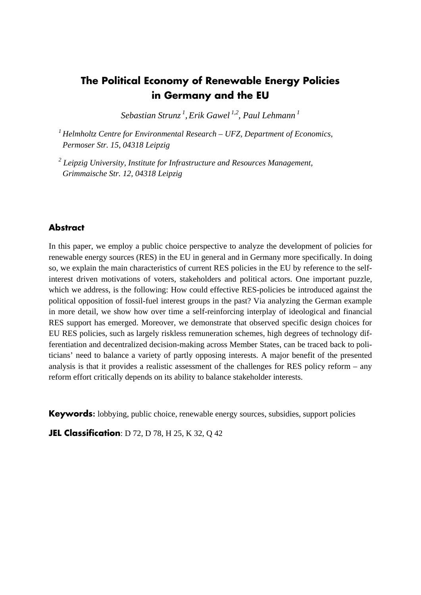# **The Political Economy of Renewable Energy Policies in Germany and the EU**

 *Sebastian Strunz 1, Erik Gawel 1,2, Paul Lehmann 1* 

*1 Helmholtz Centre for Environmental Research – UFZ, Department of Economics, Permoser Str. 15, 04318 Leipzig* 

 *2 Leipzig University, Institute for Infrastructure and Resources Management, Grimmaische Str. 12, 04318 Leipzig*

# **Abstract**

 so, we explain the main characteristics of current RES policies in the EU by reference to the self- ticians' need to balance a variety of partly opposing interests. A major benefit of the presented analysis is that it provides a realistic assessment of the challenges for RES policy reform – any In this paper, we employ a public choice perspective to analyze the development of policies for renewable energy sources (RES) in the EU in general and in Germany more specifically. In doing interest driven motivations of voters, stakeholders and political actors. One important puzzle, which we address, is the following: How could effective RES-policies be introduced against the political opposition of fossil-fuel interest groups in the past? Via analyzing the German example in more detail, we show how over time a self-reinforcing interplay of ideological and financial RES support has emerged. Moreover, we demonstrate that observed specific design choices for EU RES policies, such as largely riskless remuneration schemes, high degrees of technology differentiation and decentralized decision-making across Member States, can be traced back to polireform effort critically depends on its ability to balance stakeholder interests.

**Keywords:** lobbying, public choice, renewable energy sources, subsidies, support policies

**JEL Classification**: D 72, D 78, H 25, K 32, Q 42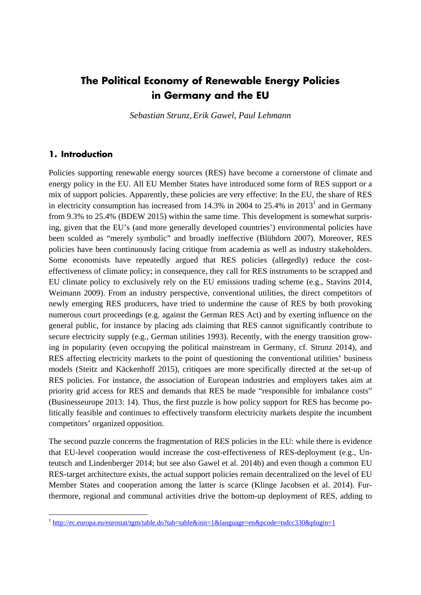# **The Political Economy of Renewable Energy Policies in Germany and the EU**

*Sebastian Strunz, Erik Gawel, Paul Lehmann* 

### **1. Introduction**

 Policies supporting renewable energy sources (RES) have become a cornerstone of climate and energy policy in the EU. All EU Member States have introduced some form of RES support or a in electricity consumption has increased from 14.3% in 2004 to  $25.4\%$  in  $2013<sup>1</sup>$  and in Germany from 9.3% to 25.4% (BDEW 2015) within the same time. This development is somewhat surpris- Some economists have repeatedly argued that RES policies (allegedly) reduce the cost- Weimann 2009). From an industry perspective, conventional utilities, the direct competitors of numerous court proceedings (e.g. against the German RES Act) and by exerting influence on the ing in popularity (even occupying the political mainstream in Germany, cf. Strunz 2014), and competitors' organized opposition. competitors' organized opposition.<br>The second puzzle concerns the fragmentation of RES policies in the EU: while there is evidence mix of support policies. Apparently, these policies are very effective: In the EU, the share of RES ing, given that the EU's (and more generally developed countries') environmental policies have been scolded as "merely symbolic" and broadly ineffective (Blühdorn 2007). Moreover, RES policies have been continuously facing critique from academia as well as industry stakeholders. effectiveness of climate policy; in consequence, they call for RES instruments to be scrapped and EU climate policy to exclusively rely on the EU emissions trading scheme (e.g., Stavins 2014, newly emerging RES producers, have tried to undermine the cause of RES by both provoking general public, for instance by placing ads claiming that RES cannot significantly contribute to secure electricity supply (e.g., German utilities 1993). Recently, with the energy transition grow-RES affecting electricity markets to the point of questioning the conventional utilities' business models (Steitz and Käckenhoff 2015), critiques are more specifically directed at the set-up of RES policies. For instance, the association of European industries and employers takes aim at priority grid access for RES and demands that RES be made "responsible for imbalance costs" (Businesseurope 2013: 14). Thus, the first puzzle is how policy support for RES has become politically feasible and continues to effectively transform electricity markets despite the incumbent

 that EU-level cooperation would increase the cost-effectiveness of RES-deployment (e.g., Un- teutsch and Lindenberger 2014; but see also Gawel et al. 2014b) and even though a common EU RES-target architecture exists, the actual support policies remain decentralized on the level of EU Member States and cooperation among the latter is scarce (Klinge Jacobsen et al. 2014). Furthermore, regional and communal activities drive the bottom-up deployment of RES, adding to

<sup>&</sup>lt;sup>1</sup> http://ec.europa.eu/eurostat/tgm/table.do?tab=table&init=1&language=en&pcode=tsdcc330&plugin=1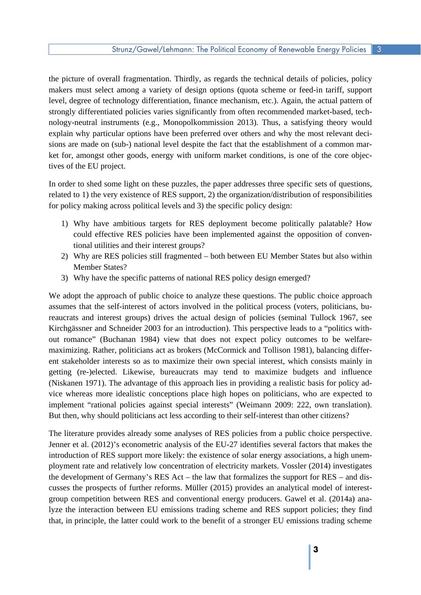level, degree of technology differentiation, finance mechanism, etc.). Again, the actual pattern of nology-neutral instruments (e.g., Monopolkommission 2013). Thus, a satisfying theory would explain why particular options have been preferred over others and why the most relevant deci- ket for, amongst other goods, energy with uniform market conditions, is one of the core objecthe picture of overall fragmentation. Thirdly, as regards the technical details of policies, policy makers must select among a variety of design options (quota scheme or feed-in tariff, support strongly differentiated policies varies significantly from often recommended market-based, techsions are made on (sub-) national level despite the fact that the establishment of a common martives of the EU project.

 related to 1) the very existence of RES support, 2) the organization/distribution of responsibilities In order to shed some light on these puzzles, the paper addresses three specific sets of questions, for policy making across political levels and 3) the specific policy design:

- could effective RES policies have been implemented against the opposition of conven-1) Why have ambitious targets for RES deployment become politically palatable? How tional utilities and their interest groups?
- 2) Why are RES policies still fragmented both between EU Member States but also within **Member States?**
- 3) Why have the specific patterns of national RES policy design emerged?

assumes that the self-interest of actors involved in the political process (voters, politicians, bu (Niskanen 1971). The advantage of this approach lies in providing a realistic basis for policy ad- vice whereas more idealistic conceptions place high hopes on politicians, who are expected to We adopt the approach of public choice to analyze these questions. The public choice approach reaucrats and interest groups) drives the actual design of policies (seminal Tullock 1967, see Kirchgässner and Schneider 2003 for an introduction). This perspective leads to a "politics without romance" (Buchanan 1984) view that does not expect policy outcomes to be welfaremaximizing. Rather, politicians act as brokers (McCormick and Tollison 1981), balancing different stakeholder interests so as to maximize their own special interest, which consists mainly in getting (re-)elected. Likewise, bureaucrats may tend to maximize budgets and influence implement "rational policies against special interests" (Weimann 2009: 222, own translation). But then, why should politicians act less according to their self-interest than other citizens?

 The literature provides already some analyses of RES policies from a public choice perspective. the development of Germany's RES Act – the law that formalizes the support for RES – and dis- that, in principle, the latter could work to the benefit of a stronger EU emissions trading scheme Jenner et al. (2012)'s econometric analysis of the EU-27 identifies several factors that makes the introduction of RES support more likely: the existence of solar energy associations, a high unemployment rate and relatively low concentration of electricity markets. Vossler (2014) investigates cusses the prospects of further reforms. Müller (2015) provides an analytical model of interestgroup competition between RES and conventional energy producers. Gawel et al. (2014a) analyze the interaction between EU emissions trading scheme and RES support policies; they find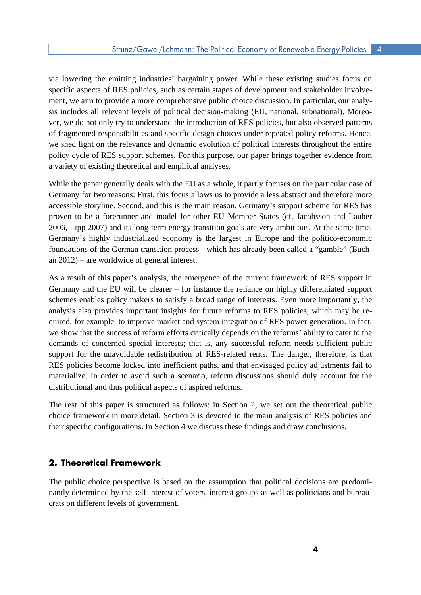specific aspects of RES policies, such as certain stages of development and stakeholder involve- policy cycle of RES support schemes. For this purpose, our paper brings together evidence from a variety of existing theoretical and empirical analyses. via lowering the emitting industries' bargaining power. While these existing studies focus on ment, we aim to provide a more comprehensive public choice discussion. In particular, our analysis includes all relevant levels of political decision-making (EU, national, subnational). Moreover, we do not only try to understand the introduction of RES policies, but also observed patterns of fragmented responsibilities and specific design choices under repeated policy reforms. Hence, we shed light on the relevance and dynamic evolution of political interests throughout the entire

While the paper generally deals with the EU as a whole, it partly focuses on the particular case of accessible storyline. Second, and this is the main reason, Germany's support scheme for RES has proven to be a forerunner and model for other EU Member States (cf. Jacobsson and Lauber foundations of the German transition process - which has already been called a "gamble" (Buch-Germany for two reasons: First, this focus allows us to provide a less abstract and therefore more 2006, Lipp 2007) and its long-term energy transition goals are very ambitious. At the same time, Germany's highly industrialized economy is the largest in Europe and the politico-economic an 2012) – are worldwide of general interest.

 schemes enables policy makers to satisfy a broad range of interests. Even more importantly, the quired, for example, to improve market and system integration of RES power generation. In fact, materialize. In order to avoid such a scenario, reform discussions should duly account for the As a result of this paper's analysis, the emergence of the current framework of RES support in Germany and the EU will be clearer – for instance the reliance on highly differentiated support analysis also provides important insights for future reforms to RES policies, which may be rewe show that the success of reform efforts critically depends on the reforms' ability to cater to the demands of concerned special interests; that is, any successful reform needs sufficient public support for the unavoidable redistribution of RES-related rents. The danger, therefore, is that RES policies become locked into inefficient paths, and that envisaged policy adjustments fail to distributional and thus political aspects of aspired reforms.

 The rest of this paper is structured as follows: in Section 2, we set out the theoretical public choice framework in more detail. Section 3 is devoted to the main analysis of RES policies and their specific configurations. In Section 4 we discuss these findings and draw conclusions.

# **2. Theoretical Framework**

The public choice perspective is based on the assumption that political decisions are predominantly determined by the self-interest of voters, interest groups as well as politicians and bureaucrats on different levels of government.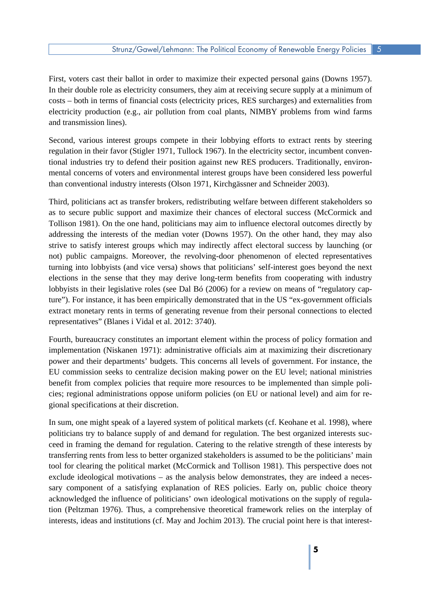First, voters cast their ballot in order to maximize their expected personal gains (Downs 1957). In their double role as electricity consumers, they aim at receiving secure supply at a minimum of electricity production (e.g., air pollution from coal plants, NIMBY problems from wind farms and transmission lines). costs – both in terms of financial costs (electricity prices, RES surcharges) and externalities from

 Second, various interest groups compete in their lobbying efforts to extract rents by steering mental concerns of voters and environmental interest groups have been considered less powerful regulation in their favor (Stigler 1971, Tullock 1967). In the electricity sector, incumbent conventional industries try to defend their position against new RES producers. Traditionally, environthan conventional industry interests (Olson 1971, Kirchgässner and Schneider 2003).

 as to secure public support and maximize their chances of electoral success (McCormick and Tollison 1981). On the one hand, politicians may aim to influence electoral outcomes directly by strive to satisfy interest groups which may indirectly affect electoral success by launching (or elections in the sense that they may derive long-term benefits from cooperating with industry ture"). For instance, it has been empirically demonstrated that in the US "ex-government officials representatives" (Blanes i Vidal et al. 2012: 3740). Third, politicians act as transfer brokers, redistributing welfare between different stakeholders so addressing the interests of the median voter (Downs 1957). On the other hand, they may also not) public campaigns. Moreover, the revolving-door phenomenon of elected representatives turning into lobbyists (and vice versa) shows that politicians' self-interest goes beyond the next lobbyists in their legislative roles (see Dal Bó (2006) for a review on means of "regulatory capextract monetary rents in terms of generating revenue from their personal connections to elected

 power and their departments' budgets. This concerns all levels of government. For instance, the EU commission seeks to centralize decision making power on the EU level; national ministries benefit from complex policies that require more resources to be implemented than simple poli-Fourth, bureaucracy constitutes an important element within the process of policy formation and implementation (Niskanen 1971): administrative officials aim at maximizing their discretionary cies; regional administrations oppose uniform policies (on EU or national level) and aim for regional specifications at their discretion.

 In sum, one might speak of a layered system of political markets (cf. Keohane et al. 1998), where politicians try to balance supply of and demand for regulation. The best organized interests suc- ceed in framing the demand for regulation. Catering to the relative strength of these interests by exclude ideological motivations – as the analysis below demonstrates, they are indeed a neces- sary component of a satisfying explanation of RES policies. Early on, public choice theory acknowledged the influence of politicians' own ideological motivations on the supply of regulatransferring rents from less to better organized stakeholders is assumed to be the politicians' main tool for clearing the political market (McCormick and Tollison 1981). This perspective does not tion (Peltzman 1976). Thus, a comprehensive theoretical framework relies on the interplay of interests, ideas and institutions (cf. May and Jochim 2013). The crucial point here is that interest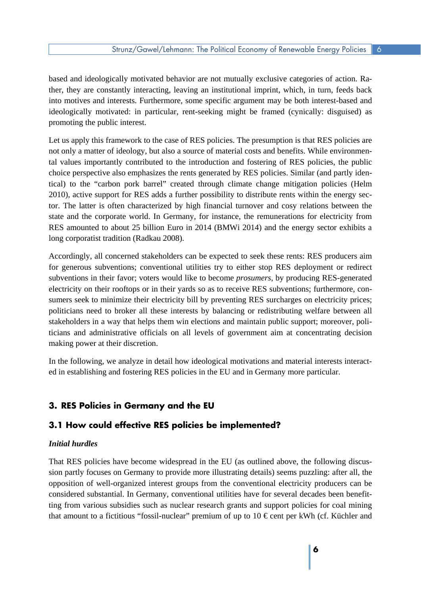based and ideologically motivated behavior are not mutually exclusive categories of action. Ra- ther, they are constantly interacting, leaving an institutional imprint, which, in turn, feeds back promoting the public interest. into motives and interests. Furthermore, some specific argument may be both interest-based and ideologically motivated: in particular, rent-seeking might be framed (cynically: disguised) as

 choice perspective also emphasizes the rents generated by RES policies. Similar (and partly iden- tical) to the "carbon pork barrel" created through climate change mitigation policies (Helm 2010), active support for RES adds a further possibility to distribute rents within the energy sec- RES amounted to about 25 billion Euro in 2014 (BMWi 2014) and the energy sector exhibits a long corporatist tradition (Radkau 2008). long corporatist tradition (Radkau 2008).<br>Accordingly, all concerned stakeholders can be expected to seek these rents: RES producers aim Let us apply this framework to the case of RES policies. The presumption is that RES policies are not only a matter of ideology, but also a source of material costs and benefits. While environmental values importantly contributed to the introduction and fostering of RES policies, the public tor. The latter is often characterized by high financial turnover and cosy relations between the state and the corporate world. In Germany, for instance, the remunerations for electricity from

sumers seek to minimize their electricity bill by preventing RES surcharges on electricity prices; ticians and administrative officials on all levels of government aim at concentrating decision for generous subventions; conventional utilities try to either stop RES deployment or redirect subventions in their favor; voters would like to become *prosumers*, by producing RES-generated electricity on their rooftops or in their yards so as to receive RES subventions; furthermore, conpoliticians need to broker all these interests by balancing or redistributing welfare between all stakeholders in a way that helps them win elections and maintain public support; moreover, polimaking power at their discretion.

 ed in establishing and fostering RES policies in the EU and in Germany more particular. In the following, we analyze in detail how ideological motivations and material interests interact-

# **3. RES Policies in Germany and the EU**

### **3.1 How could effective RES policies be implemented?**

#### *Initial hurdles*

 sion partly focuses on Germany to provide more illustrating details) seems puzzling: after all, the opposition of well-organized interest groups from the conventional electricity producers can be That RES policies have become widespread in the EU (as outlined above, the following discusconsidered substantial. In Germany, conventional utilities have for several decades been benefitting from various subsidies such as nuclear research grants and support policies for coal mining that amount to a fictitious "fossil-nuclear" premium of up to 10  $\epsilon$  cent per kWh (cf. Küchler and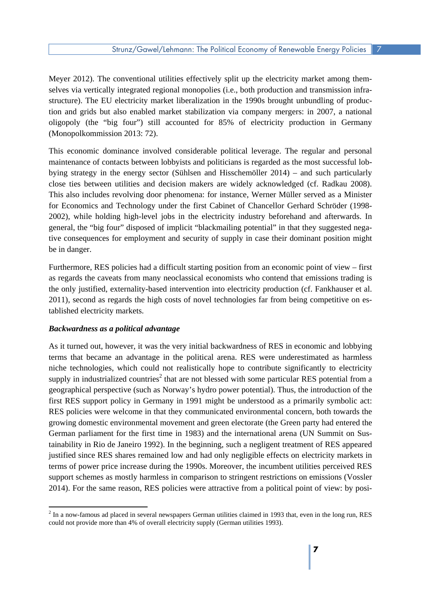tion and grids but also enabled market stabilization via company mergers: in 2007, a national oligopoly (the "big four") still accounted for 85% of electricity production in Germany Meyer 2012). The conventional utilities effectively split up the electricity market among themselves via vertically integrated regional monopolies (i.e., both production and transmission infrastructure). The EU electricity market liberalization in the 1990s brought unbundling of produc-(Monopolkommission 2013: 72).

 bying strategy in the energy sector (Sühlsen and Hisschemöller 2014) – and such particularly close ties between utilities and decision makers are widely acknowledged (cf. Radkau 2008). be in danger. This economic dominance involved considerable political leverage. The regular and personal maintenance of contacts between lobbyists and politicians is regarded as the most successful lob-This also includes revolving door phenomena: for instance, Werner Müller served as a Minister for Economics and Technology under the first Cabinet of Chancellor Gerhard Schröder (1998 2002), while holding high-level jobs in the electricity industry beforehand and afterwards. In general, the "big four" disposed of implicit "blackmailing potential" in that they suggested negative consequences for employment and security of supply in case their dominant position might

 Furthermore, RES policies had a difficult starting position from an economic point of view – first as regards the caveats from many neoclassical economists who contend that emissions trading is tablished electricity markets. the only justified, externality-based intervention into electricity production (cf. Fankhauser et al. 2011), second as regards the high costs of novel technologies far from being competitive on es-

#### *Backwardness as a political advantage*

 terms that became an advantage in the political arena. RES were underestimated as harmless niche technologies, which could not realistically hope to contribute significantly to electricity geographical perspective (such as Norway's hydro power potential). Thus, the introduction of the first RES support policy in Germany in 1991 might be understood as a primarily symbolic act: support schemes as mostly harmless in comparison to stringent restrictions on emissions (Vossler 2014). For the same reason, RES policies were attractive from a political point of view: by posi-As it turned out, however, it was the very initial backwardness of RES in economic and lobbying supply in industrialized countries<sup>2</sup> that are not blessed with some particular RES potential from a RES policies were welcome in that they communicated environmental concern, both towards the growing domestic environmental movement and green electorate (the Green party had entered the German parliament for the first time in 1983) and the international arena (UN Summit on Sustainability in Rio de Janeiro 1992). In the beginning, such a negligent treatment of RES appeared justified since RES shares remained low and had only negligible effects on electricity markets in terms of power price increase during the 1990s. Moreover, the incumbent utilities perceived RES

<sup>&</sup>lt;sup>2</sup> In a now-famous ad placed in several newspapers German utilities claimed in 1993 that, even in the long run, RES could not provide more than 4% of overall electricity supply (German utilities 1993).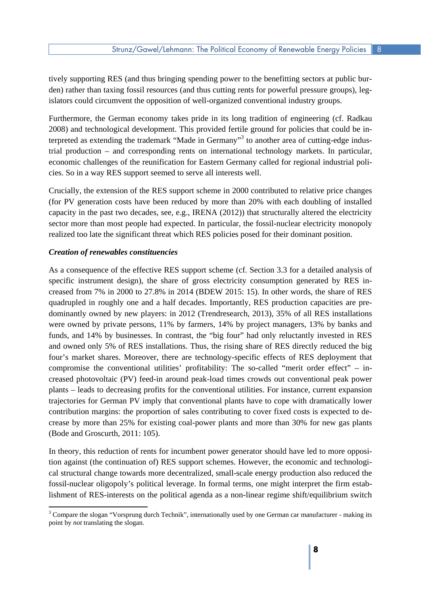islators could circumvent the opposition of well-organized conventional industry groups. tively supporting RES (and thus bringing spending power to the benefitting sectors at public burden) rather than taxing fossil resources (and thus cutting rents for powerful pressure groups), leg-

 2008) and technological development. This provided fertile ground for policies that could be in- trial production – and corresponding rents on international technology markets. In particular, Furthermore, the German economy takes pride in its long tradition of engineering (cf. Radkau terpreted as extending the trademark "Made in Germany"<sup>3</sup> to another area of cutting-edge indus economic challenges of the reunification for Eastern Germany called for regional industrial policies. So in a way RES support seemed to serve all interests well.

 Crucially, the extension of the RES support scheme in 2000 contributed to relative price changes (for PV generation costs have been reduced by more than 20% with each doubling of installed capacity in the past two decades, see, e.g., IRENA (2012)) that structurally altered the electricity sector more than most people had expected. In particular, the fossil-nuclear electricity monopoly realized too late the significant threat which RES policies posed for their dominant position.

#### *Creation of renewables constituencies*

 As a consequence of the effective RES support scheme (cf. Section 3.3 for a detailed analysis of creased from 7% in 2000 to 27.8% in 2014 (BDEW 2015: 15). In other words, the share of RES quadrupled in roughly one and a half decades. Importantly, RES production capacities are pre- were owned by private persons, 11% by farmers, 14% by project managers, 13% by banks and and owned only 5% of RES installations. Thus, the rising share of RES directly reduced the big creased photovoltaic (PV) feed-in around peak-load times crowds out conventional peak power crease by more than 25% for existing coal-power plants and more than 30% for new gas plants specific instrument design), the share of gross electricity consumption generated by RES indominantly owned by new players: in 2012 (Trendresearch, 2013), 35% of all RES installations funds, and 14% by businesses. In contrast, the "big four" had only reluctantly invested in RES four's market shares. Moreover, there are technology-specific effects of RES deployment that compromise the conventional utilities' profitability: The so-called "merit order effect" – inplants – leads to decreasing profits for the conventional utilities. For instance, current expansion trajectories for German PV imply that conventional plants have to cope with dramatically lower contribution margins: the proportion of sales contributing to cover fixed costs is expected to de-(Bode and Groscurth, 2011: 105).

 In theory, this reduction of rents for incumbent power generator should have led to more opposi- tion against (the continuation of) RES support schemes. However, the economic and technologi- cal structural change towards more decentralized, small-scale energy production also reduced the fossil-nuclear oligopoly's political leverage. In formal terms, one might interpret the firm establishment of RES-interests on the political agenda as a non-linear regime shift/equilibrium switch

<sup>&</sup>lt;sup>3</sup> Compare the slogan "Vorsprung durch Technik", internationally used by one German car manufacturer - making its point by *not* translating the slogan.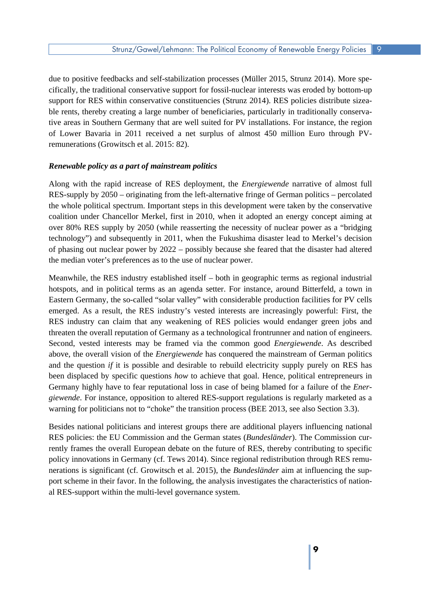support for RES within conservative constituencies (Strunz 2014). RES policies distribute sizea of Lower Bavaria in 2011 received a net surplus of almost 450 million Euro through PVdue to positive feedbacks and self-stabilization processes (Müller 2015, Strunz 2014). More specifically, the traditional conservative support for fossil-nuclear interests was eroded by bottom-up ble rents, thereby creating a large number of beneficiaries, particularly in traditionally conservative areas in Southern Germany that are well suited for PV installations. For instance, the region remunerations (Growitsch et al. 2015: 82).

#### *Renewable policy as a part of mainstream politics*

 Along with the rapid increase of RES deployment, the *Energiewende* narrative of almost full RES-supply by 2050 – originating from the left-alternative fringe of German politics – percolated the whole political spectrum. Important steps in this development were taken by the conservative over 80% RES supply by 2050 (while reasserting the necessity of nuclear power as a "bridging of phasing out nuclear power by 2022 – possibly because she feared that the disaster had altered coalition under Chancellor Merkel, first in 2010, when it adopted an energy concept aiming at technology") and subsequently in 2011, when the Fukushima disaster lead to Merkel's decision the median voter's preferences as to the use of nuclear power.

 Meanwhile, the RES industry established itself – both in geographic terms as regional industrial emerged. As a result, the RES industry's vested interests are increasingly powerful: First, the RES industry can claim that any weakening of RES policies would endanger green jobs and threaten the overall reputation of Germany as a technological frontrunner and nation of engineers. above, the overall vision of the *Energiewende* has conquered the mainstream of German politics and the question *if* it is possible and desirable to rebuild electricity supply purely on RES has hotspots, and in political terms as an agenda setter. For instance, around Bitterfeld, a town in Eastern Germany, the so-called "solar valley" with considerable production facilities for PV cells Second, vested interests may be framed via the common good *Energiewende*. As described been displaced by specific questions *how* to achieve that goal. Hence, political entrepreneurs in Germany highly have to fear reputational loss in case of being blamed for a failure of the *Energiewende*. For instance, opposition to altered RES-support regulations is regularly marketed as a warning for politicians not to "choke" the transition process (BEE 2013, see also Section 3.3).

 RES policies: the EU Commission and the German states (*Bundesländer*). The Commission cur- rently frames the overall European debate on the future of RES, thereby contributing to specific port scheme in their favor. In the following, the analysis investigates the characteristics of nation- al RES-support within the multi-level governance system. Besides national politicians and interest groups there are additional players influencing national policy innovations in Germany (cf. Tews 2014). Since regional redistribution through RES remunerations is significant (cf. Growitsch et al. 2015), the *Bundesländer* aim at influencing the sup-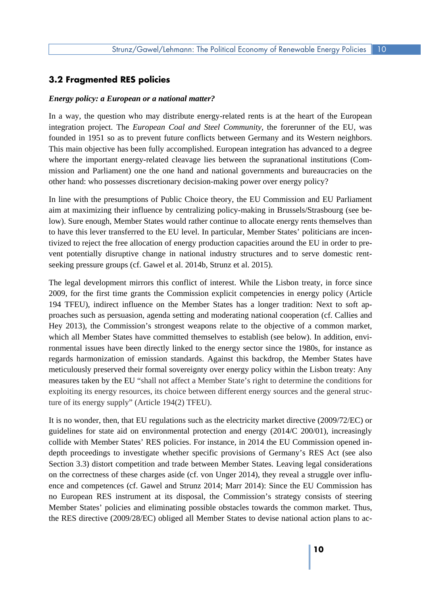# **3.2 Fragmented RES policies**

#### *Energy policy: a European or a national matter?*

 In a way, the question who may distribute energy-related rents is at the heart of the European integration project. The *European Coal and Steel Community*, the forerunner of the EU, was founded in 1951 so as to prevent future conflicts between Germany and its Western neighbors. This main objective has been fully accomplished. European integration has advanced to a degree other hand: who possesses discretionary decision-making power over energy policy? where the important energy-related cleavage lies between the supranational institutions (Commission and Parliament) one the one hand and national governments and bureaucracies on the

 aim at maximizing their influence by centralizing policy-making in Brussels/Strasbourg (see be- to have this lever transferred to the EU level. In particular, Member States' politicians are incen-In line with the presumptions of Public Choice theory, the EU Commission and EU Parliament low). Sure enough, Member States would rather continue to allocate energy rents themselves than tivized to reject the free allocation of energy production capacities around the EU in order to prevent potentially disruptive change in national industry structures and to serve domestic rentseeking pressure groups (cf. Gawel et al. 2014b, Strunz et al. 2015).

 2009, for the first time grants the Commission explicit competencies in energy policy (Article proaches such as persuasion, agenda setting and moderating national cooperation (cf. Callies and Hey 2013), the Commission's strongest weapons relate to the objective of a common market, ronmental issues have been directly linked to the energy sector since the 1980s, for instance as meticulously preserved their formal sovereignty over energy policy within the Lisbon treaty: Any measures taken by the EU "shall not affect a Member State's right to determine the conditions for The legal development mirrors this conflict of interest. While the Lisbon treaty, in force since 194 TFEU), indirect influence on the Member States has a longer tradition: Next to soft apwhich all Member States have committed themselves to establish (see below). In addition, enviregards harmonization of emission standards. Against this backdrop, the Member States have exploiting its energy resources, its choice between different energy sources and the general structure of its energy supply" (Article 194(2) TFEU).

 depth proceedings to investigate whether specific provisions of Germany's RES Act (see also ence and competences (cf. Gawel and Strunz 2014; Marr 2014): Since the EU Commission has no European RES instrument at its disposal, the Commission's strategy consists of steering It is no wonder, then, that EU regulations such as the electricity market directive (2009/72/EC) or guidelines for state aid on environmental protection and energy (2014/C 200/01), increasingly collide with Member States' RES policies. For instance, in 2014 the EU Commission opened in-Section 3.3) distort competition and trade between Member States. Leaving legal considerations on the correctness of these charges aside (cf. von Unger 2014), they reveal a struggle over influ-Member States' policies and eliminating possible obstacles towards the common market. Thus, the RES directive (2009/28/EC) obliged all Member States to devise national action plans to ac-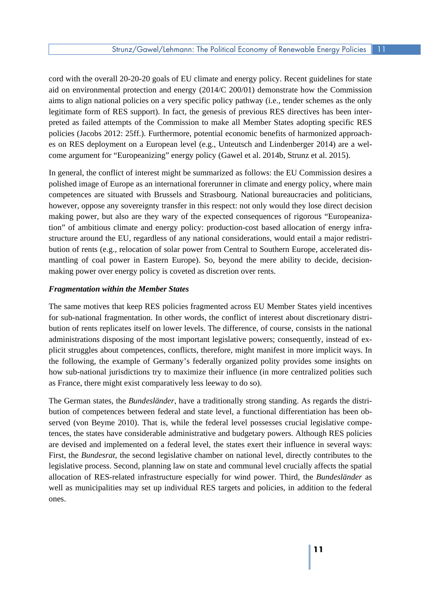aid on environmental protection and energy (2014/C 200/01) demonstrate how the Commission aims to align national policies on a very specific policy pathway (i.e., tender schemes as the only come argument for "Europeanizing" energy policy (Gawel et al. 2014b, Strunz et al. 2015). cord with the overall 20-20-20 goals of EU climate and energy policy. Recent guidelines for state legitimate form of RES support). In fact, the genesis of previous RES directives has been interpreted as failed attempts of the Commission to make all Member States adopting specific RES policies (Jacobs 2012: 25ff.). Furthermore, potential economic benefits of harmonized approaches on RES deployment on a European level (e.g., Unteutsch and Lindenberger 2014) are a wel-

 polished image of Europe as an international forerunner in climate and energy policy, where main competences are situated with Brussels and Strasbourg. National bureaucracies and politicians, however, oppose any sovereignty transfer in this respect: not only would they lose direct decision making power, but also are they wary of the expected consequences of rigorous "Europeaniza- tion" of ambitious climate and energy policy: production-cost based allocation of energy infra- structure around the EU, regardless of any national considerations, would entail a major redistri- making power over energy policy is coveted as discretion over rents. In general, the conflict of interest might be summarized as follows: the EU Commission desires a bution of rents (e.g., relocation of solar power from Central to Southern Europe, accelerated dismantling of coal power in Eastern Europe). So, beyond the mere ability to decide, decision-

#### *Fragmentation within the Member States*

 for sub-national fragmentation. In other words, the conflict of interest about discretionary distri- the following, the example of Germany's federally organized polity provides some insights on as France, there might exist comparatively less leeway to do so). The same motives that keep RES policies fragmented across EU Member States yield incentives bution of rents replicates itself on lower levels. The difference, of course, consists in the national administrations disposing of the most important legislative powers; consequently, instead of explicit struggles about competences, conflicts, therefore, might manifest in more implicit ways. In how sub-national jurisdictions try to maximize their influence (in more centralized polities such

 The German states, the *Bundesländer*, have a traditionally strong standing. As regards the distri- bution of competences between federal and state level, a functional differentiation has been ob- are devised and implemented on a federal level, the states exert their influence in several ways: First, the *Bundesrat*, the second legislative chamber on national level, directly contributes to the legislative process. Second, planning law on state and communal level crucially affects the spatial served (von Beyme 2010). That is, while the federal level possesses crucial legislative competences, the states have considerable administrative and budgetary powers. Although RES policies allocation of RES-related infrastructure especially for wind power. Third, the *Bundesländer* as well as municipalities may set up individual RES targets and policies, in addition to the federal ones.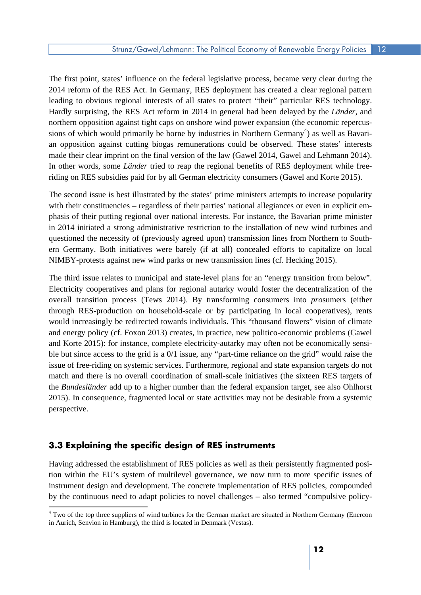The first point, states' influence on the federal legislative process, became very clear during the 2014 reform of the RES Act. In Germany, RES deployment has created a clear regional pattern Hardly surprising, the RES Act reform in 2014 in general had been delayed by the *Länder*, and leading to obvious regional interests of all states to protect "their" particular RES technology. northern opposition against tight caps on onshore wind power expansion (the economic repercussions of which would primarily be borne by industries in Northern Germany<sup>4</sup>) as well as Bavari an opposition against cutting biogas remunerations could be observed. These states' interests made their clear imprint on the final version of the law (Gawel 2014, Gawel and Lehmann 2014). In other words, some *Länder* tried to reap the regional benefits of RES deployment while freeriding on RES subsidies paid for by all German electricity consumers (Gawel and Korte 2015).

with their constituencies – regardless of their parties' national allegiances or even in explicit em ern Germany. Both initiatives were barely (if at all) concealed efforts to capitalize on local The second issue is best illustrated by the states' prime ministers attempts to increase popularity phasis of their putting regional over national interests. For instance, the Bavarian prime minister in 2014 initiated a strong administrative restriction to the installation of new wind turbines and questioned the necessity of (previously agreed upon) transmission lines from Northern to South-NIMBY-protests against new wind parks or new transmission lines (cf. Hecking 2015).

 The third issue relates to municipal and state-level plans for an "energy transition from below". Electricity cooperatives and plans for regional autarky would foster the decentralization of the would increasingly be redirected towards individuals. This "thousand flowers" vision of climate and energy policy (cf. Foxon 2013) creates, in practice, new politico-economic problems (Gawel ble but since access to the grid is a 0/1 issue, any "part-time reliance on the grid" would raise the issue of free-riding on systemic services. Furthermore, regional and state expansion targets do not 2015). In consequence, fragmented local or state activities may not be desirable from a systemic overall transition process (Tews 2014). By transforming consumers into *pro*sumers (either through RES-production on household-scale or by participating in local cooperatives), rents and Korte 2015): for instance, complete electricity-autarky may often not be economically sensimatch and there is no overall coordination of small-scale initiatives (the sixteen RES targets of the *Bundesländer* add up to a higher number than the federal expansion target, see also Ohlhorst perspective.

# **3.3 Explaining the specific design of RES instruments**

 Having addressed the establishment of RES policies as well as their persistently fragmented position within the EU's system of multilevel governance, we now turn to more specific issues of instrument design and development. The concrete implementation of RES policies, compounded by the continuous need to adapt policies to novel challenges – also termed "compulsive policy-

<sup>&</sup>lt;sup>4</sup> Two of the top three suppliers of wind turbines for the German market are situated in Northern Germany (Enercon in Aurich, Senvion in Hamburg), the third is located in Denmark (Vestas).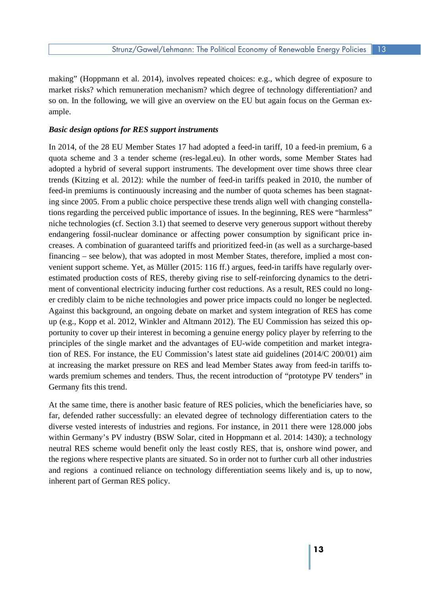making" (Hoppmann et al. 2014), involves repeated choices: e.g., which degree of exposure to so on. In the following, we will give an overview on the EU but again focus on the German exmarket risks? which remuneration mechanism? which degree of technology differentiation? and ample.

#### *Basic design options for RES support instruments*

 quota scheme and 3 a tender scheme (res-legal.eu). In other words, some Member States had adopted a hybrid of several support instruments. The development over time shows three clear ing since 2005. From a public choice perspective these trends align well with changing constella- tions regarding the perceived public importance of issues. In the beginning, RES were "harmless" niche technologies (cf. Section 3.1) that seemed to deserve very generous support without thereby ment of conventional electricity inducing further cost reductions. As a result, RES could no long- er credibly claim to be niche technologies and power price impacts could no longer be neglected. up (e.g., Kopp et al. 2012, Winkler and Altmann 2012). The EU Commission has seized this op- portunity to cover up their interest in becoming a genuine energy policy player by referring to the tion of RES. For instance, the EU Commission's latest state aid guidelines (2014/C 200/01) aim In 2014, of the 28 EU Member States 17 had adopted a feed-in tariff, 10 a feed-in premium, 6 a trends (Kitzing et al. 2012): while the number of feed-in tariffs peaked in 2010, the number of feed-in premiums is continuously increasing and the number of quota schemes has been stagnatendangering fossil-nuclear dominance or affecting power consumption by significant price increases. A combination of guaranteed tariffs and prioritized feed-in (as well as a surcharge-based financing – see below), that was adopted in most Member States, therefore, implied a most convenient support scheme. Yet, as Müller (2015: 116 ff.) argues, feed-in tariffs have regularly overestimated production costs of RES, thereby giving rise to self-reinforcing dynamics to the detri-Against this background, an ongoing debate on market and system integration of RES has come principles of the single market and the advantages of EU-wide competition and market integraat increasing the market pressure on RES and lead Member States away from feed-in tariffs towards premium schemes and tenders. Thus, the recent introduction of "prototype PV tenders" in Germany fits this trend.

 At the same time, there is another basic feature of RES policies, which the beneficiaries have, so the regions where respective plants are situated. So in order not to further curb all other industries and regions a continued reliance on technology differentiation seems likely and is, up to now, far, defended rather successfully: an elevated degree of technology differentiation caters to the diverse vested interests of industries and regions. For instance, in 2011 there were 128.000 jobs within Germany's PV industry (BSW Solar, cited in Hoppmann et al. 2014: 1430); a technology neutral RES scheme would benefit only the least costly RES, that is, onshore wind power, and inherent part of German RES policy.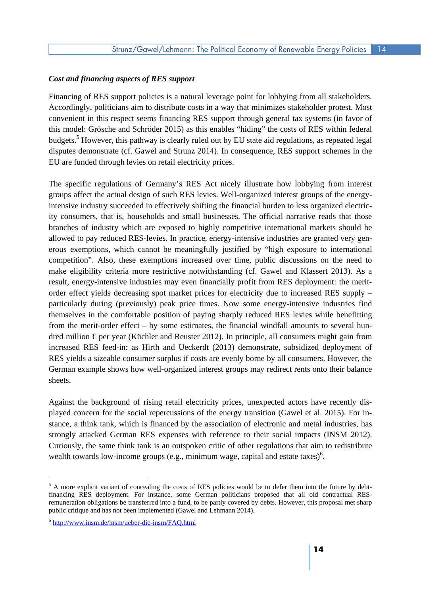#### *Cost and financing aspects of RES support*

 Accordingly, politicians aim to distribute costs in a way that minimizes stakeholder protest. Most convenient in this respect seems financing RES support through general tax systems (in favor of budgets.<sup>5</sup> However, this pathway is clearly ruled out by EU state aid regulations, as repeated legal disputes demonstrate (cf. Gawel and Strunz 2014). In consequence, RES support schemes in the EU are funded through levies on retail electricity prices. Financing of RES support policies is a natural leverage point for lobbying from all stakeholders. this model: Grösche and Schröder 2015) as this enables "hiding" the costs of RES within federal

 The specific regulations of Germany's RES Act nicely illustrate how lobbying from interest groups affect the actual design of such RES levies. Well-organized interest groups of the energy- intensive industry succeeded in effectively shifting the financial burden to less organized electric- ity consumers, that is, households and small businesses. The official narrative reads that those competition". Also, these exemptions increased over time, public discussions on the need to order effect yields decreasing spot market prices for electricity due to increased RES supply – dred million € per year (Küchler and Reuster 2012). In principle, all consumers might gain from RES yields a sizeable consumer surplus if costs are evenly borne by all consumers. However, the branches of industry which are exposed to highly competitive international markets should be allowed to pay reduced RES-levies. In practice, energy-intensive industries are granted very generous exemptions, which cannot be meaningfully justified by "high exposure to international make eligibility criteria more restrictive notwithstanding (cf. Gawel and Klassert 2013). As a result, energy-intensive industries may even financially profit from RES deployment: the meritparticularly during (previously) peak price times. Now some energy-intensive industries find themselves in the comfortable position of paying sharply reduced RES levies while benefitting from the merit-order effect – by some estimates, the financial windfall amounts to several hunincreased RES feed-in: as Hirth and Ueckerdt (2013) demonstrate, subsidized deployment of German example shows how well-organized interest groups may redirect rents onto their balance sheets.

Against the background of rising retail electricity prices, unexpected actors have recently displayed concern for the social repercussions of the energy transition (Gawel et al. 2015). For instance, a think tank, which is financed by the association of electronic and metal industries, has strongly attacked German RES expenses with reference to their social impacts (INSM 2012). Curiously, the same think tank is an outspoken critic of other regulations that aim to redistribute wealth towards low-income groups (e.g., minimum wage, capital and estate taxes) $6$ .

<sup>&</sup>lt;sup>5</sup> A more explicit variant of concealing the costs of RES policies would be to defer them into the future by debt remuneration obligations be transferred into a fund, to be partly covered by debts. However, this proposal met sharp financing RES deployment. For instance, some German politicians proposed that all old contractual RESpublic critique and has not been implemented (Gawel and Lehmann 2014).

<sup>&</sup>lt;sup>6</sup> http://www.insm.de/insm/ueber-die-insm/FAQ.html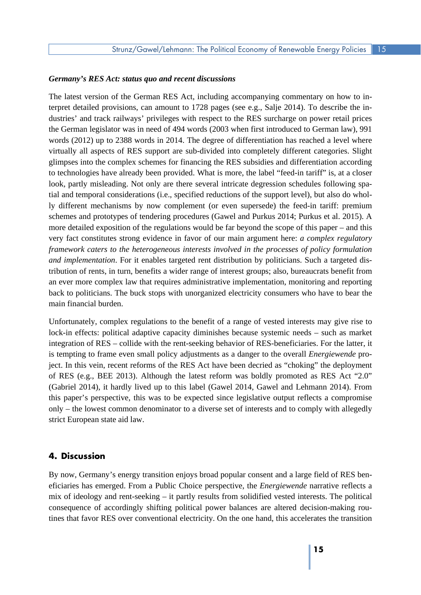#### *Germany's RES Act: status quo and recent discussions*

 The latest version of the German RES Act, including accompanying commentary on how to in- terpret detailed provisions, can amount to 1728 pages (see e.g., Salje 2014). To describe the in- the German legislator was in need of 494 words (2003 when first introduced to German law), 991 words (2012) up to 2388 words in 2014. The degree of differentiation has reached a level where to technologies have already been provided. What is more, the label "feed-in tariff" is, at a closer look, partly misleading. Not only are there several intricate degression schedules following spa- tial and temporal considerations (i.e., specified reductions of the support level), but also do whol- more detailed exposition of the regulations would be far beyond the scope of this paper – and this  *framework caters to the heterogeneous interests involved in the processes of policy formulation*  tribution of rents, in turn, benefits a wider range of interest groups; also, bureaucrats benefit from back to politicians. The buck stops with unorganized electricity consumers who have to bear the dustries' and track railways' privileges with respect to the RES surcharge on power retail prices virtually all aspects of RES support are sub-divided into completely different categories. Slight glimpses into the complex schemes for financing the RES subsidies and differentiation according ly different mechanisms by now complement (or even supersede) the feed-in tariff: premium schemes and prototypes of tendering procedures (Gawel and Purkus 2014; Purkus et al. 2015). A very fact constitutes strong evidence in favor of our main argument here: *a complex regulatory and implementation*. For it enables targeted rent distribution by politicians. Such a targeted disan ever more complex law that requires administrative implementation, monitoring and reporting main financial burden.

 Unfortunately, complex regulations to the benefit of a range of vested interests may give rise to lock-in effects: political adaptive capacity diminishes because systemic needs – such as market integration of RES – collide with the rent-seeking behavior of RES-beneficiaries. For the latter, it ject. In this vein, recent reforms of the RES Act have been decried as "choking" the deployment of RES (e.g., BEE 2013). Although the latest reform was boldly promoted as RES Act "2.0" only – the lowest common denominator to a diverse set of interests and to comply with allegedly is tempting to frame even small policy adjustments as a danger to the overall *Energiewende* pro-(Gabriel 2014), it hardly lived up to this label (Gawel 2014, Gawel and Lehmann 2014). From this paper's perspective, this was to be expected since legislative output reflects a compromise strict European state aid law.

#### **4. Discussion**

 eficiaries has emerged. From a Public Choice perspective, the *Energiewende* narrative reflects a tines that favor RES over conventional electricity. On the one hand, this accelerates the transition By now, Germany's energy transition enjoys broad popular consent and a large field of RES benmix of ideology and rent-seeking – it partly results from solidified vested interests. The political consequence of accordingly shifting political power balances are altered decision-making rou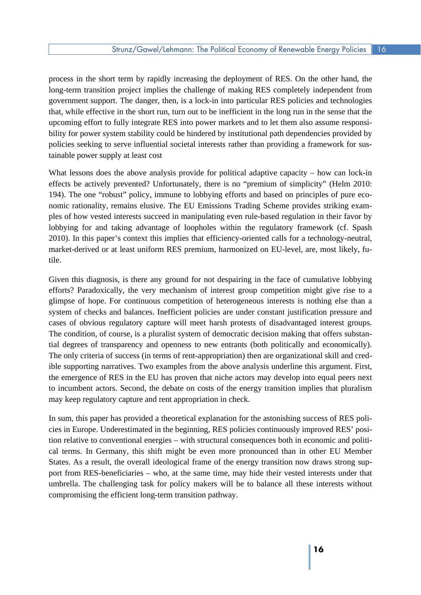long-term transition project implies the challenge of making RES completely independent from tainable power supply at least cost process in the short term by rapidly increasing the deployment of RES. On the other hand, the government support. The danger, then, is a lock-in into particular RES policies and technologies that, while effective in the short run, turn out to be inefficient in the long run in the sense that the upcoming effort to fully integrate RES into power markets and to let them also assume responsibility for power system stability could be hindered by institutional path dependencies provided by policies seeking to serve influential societal interests rather than providing a framework for sus-

 nomic rationality, remains elusive. The EU Emissions Trading Scheme provides striking exam-What lessons does the above analysis provide for political adaptive capacity – how can lock-in effects be actively prevented? Unfortunately, there is no "premium of simplicity" (Helm 2010: 194). The one "robust" policy, immune to lobbying efforts and based on principles of pure ecoples of how vested interests succeed in manipulating even rule-based regulation in their favor by lobbying for and taking advantage of loopholes within the regulatory framework (cf. Spash 2010). In this paper's context this implies that efficiency-oriented calls for a technology-neutral, market-derived or at least uniform RES premium, harmonized on EU-level, are, most likely, futile.

 Given this diagnosis, is there any ground for not despairing in the face of cumulative lobbying efforts? Paradoxically, the very mechanism of interest group competition might give rise to a cases of obvious regulatory capture will meet harsh protests of disadvantaged interest groups. The condition, of course, is a pluralist system of democratic decision making that offers substan- the emergence of RES in the EU has proven that niche actors may develop into equal peers next glimpse of hope. For continuous competition of heterogeneous interests is nothing else than a system of checks and balances. Inefficient policies are under constant justification pressure and tial degrees of transparency and openness to new entrants (both politically and economically). The only criteria of success (in terms of rent-appropriation) then are organizational skill and credible supporting narratives. Two examples from the above analysis underline this argument. First, to incumbent actors. Second, the debate on costs of the energy transition implies that pluralism may keep regulatory capture and rent appropriation in check.

 cal terms. In Germany, this shift might be even more pronounced than in other EU Member port from RES-beneficiaries – who, at the same time, may hide their vested interests under that compromising the efficient long-term transition pathway. In sum, this paper has provided a theoretical explanation for the astonishing success of RES policies in Europe. Underestimated in the beginning, RES policies continuously improved RES' position relative to conventional energies – with structural consequences both in economic and politi-States. As a result, the overall ideological frame of the energy transition now draws strong supumbrella. The challenging task for policy makers will be to balance all these interests without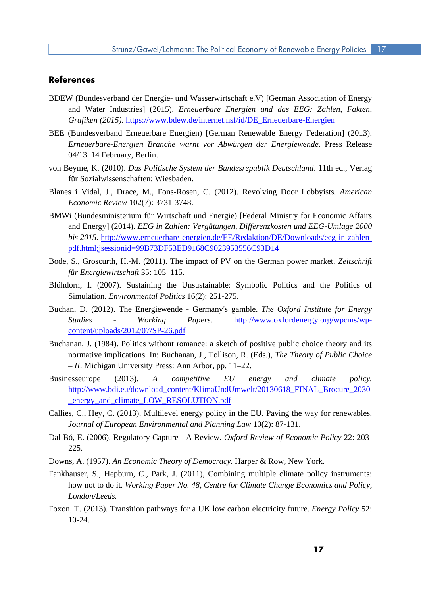### **References**

- BDEW (Bundesverband der Energie- und Wasserwirtschaft e.V) [German Association of Energy Grafiken (2015). https://www.bdew.de/internet.nsf/id/DE Erneuerbare-Energien and Water Industries] (2015). *Erneuerbare Energien und das EEG: Zahlen, Fakten,*
- *Erneuerbare-Energien Branche warnt vor Abwürgen der Energiewende*. Press Release BEE (Bundesverband Erneuerbare Energien) [German Renewable Energy Federation] (2013). 04/13. 14 February, Berlin.
- von Beyme, K. (2010). *Das Politische System der Bundesrepublik Deutschland*. 11th ed., Verlag für Sozialwissenschaften: Wiesbaden.
- Blanes i Vidal, J., Drace, M., Fons-Rosen, C. (2012). Revolving Door Lobbyists. *American Economic Review* 102(7): 3731-3748.
- BMWi (Bundesministerium für Wirtschaft und Energie) [Federal Ministry for Economic Affairs and Energy] (2014). *EEG in Zahlen: Vergütungen, Differenzkosten und EEG-Umlage 2000 bis 2015.* http://www.erneuerbare-energien.de/EE/Redaktion/DE/Downloads/eeg-in-zahlenpdf.html;jsessionid=99B73DF53ED9168C9023953556C93D14
- Bode, S., Groscurth, H.-M. (2011). The impact of PV on the German power market. *Zeitschrift für Energiewirtschaft* 35: 105–115.
- Simulation. *Environmental Politics* 16(2): 251-275. Blühdorn, I. (2007). Sustaining the Unsustainable: Symbolic Politics and the Politics of
- content/uploads/2012/07/SP-26.pdf Buchan, D. (2012). The Energiewende - Germany's gamble. *The Oxford Institute for Energy Studies - Working Papers.* http://www.oxfordenergy.org/wpcms/wp-
- normative implications. In: Buchanan, J., Tollison, R. (Eds.), *The Theory of Public Choice*  Buchanan, J. (1984). Politics without romance: a sketch of positive public choice theory and its *– II*. Michigan University Press: Ann Arbor, pp. 11–22.
- \_energy\_and\_climate\_LOW\_RESOLUTION.pdf Businesseurope (2013). *A competitive EU energy and climate policy.*  http://www.bdi.eu/download\_content/KlimaUndUmwelt/20130618\_FINAL\_Brocure\_2030
- Callies, C., Hey, C. (2013). Multilevel energy policy in the EU. Paving the way for renewables.  *Journal of European Environmental and Planning Law* 10(2): 87-131.
- Dal Bó, E. (2006). Regulatory Capture A Review. *Oxford Review of Economic Policy* 22: 203 225.
- Downs, A. (1957). *An Economic Theory of Democracy*. Harper & Row, New York.
- Fankhauser, S., Hepburn, C., Park, J. (2011), Combining multiple climate policy instruments: how not to do it. *Working Paper No. 48, Centre for Climate Change Economics and Policy, London/Leeds.*
- Foxon, T. (2013). Transition pathways for a UK low carbon electricity future. *Energy Policy* 52: 10-24.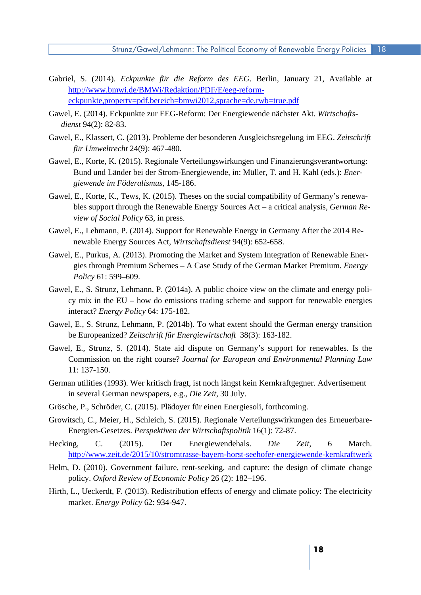- eckpunkte, property=pdf, bereich=bmwi2012, sprache=de, rwb=true.pdf Gabriel, S. (2014). *Eckpunkte für die Reform des EEG*. Berlin, January 21, Available at http://www.bmwi.de/BMWi/Redaktion/PDF/E/eeg-reform-
- eckpunkte,property=pdf,bereich=bmwi2012,sprache=de,rwb=true.pdf Gawel, E. (2014). Eckpunkte zur EEG-Reform: Der Energiewende nächster Akt. *Wirtschafts*dienst 94(2): 82-83. *dienst* 94(2): 82-83. Gawel, E., Klassert, C. (2013). Probleme der besonderen Ausgleichsregelung im EEG. *Zeitschrift*
- *für Umweltrecht* 24(9): 467-480.
- Bund und Länder bei der Strom-Energiewende, in: Müller, T. and H. Kahl (eds.): *Ener-*Gawel, E., Korte, K. (2015). Regionale Verteilungswirkungen und Finanzierungsverantwortung: *giewende im Föderalismus*, 145-186.
- *view of Social Policy* 63, in press. Gawel, E., Korte, K., Tews, K. (2015). Theses on the social compatibility of Germany's renewables support through the Renewable Energy Sources Act – a critical analysis, *German Re-*
- newable Energy Sources Act, Wirtschaftsdienst 94(9): 652-658. Gawel, E., Lehmann, P. (2014). Support for Renewable Energy in Germany After the 2014 Re-
- Policy 61: 599-609. *Policy* 61: 599–609.<br>Gawel, E., S. Strunz, Lehmann, P. (2014a). A public choice view on the climate and energy poli-Gawel, E., Purkus, A. (2013). Promoting the Market and System Integration of Renewable Energies through Premium Schemes – A Case Study of the German Market Premium. *Energy*
- cy mix in the EU how do emissions trading scheme and support for renewable energies interact? *Energy Policy* 64: 175-182.
- Gawel, E., S. Strunz, Lehmann, P. (2014b). To what extent should the German energy transition be Europeanized? *Zeitschrift für Energiewirtschaft* 38(3): 163-182.
- Gawel, E., Strunz, S. (2014). State aid dispute on Germany's support for renewables. Is the Commission on the right course? *Journal for European and Environmental Planning Law*  11: 137-150.
- German utilities (1993). Wer kritisch fragt, ist noch längst kein Kernkraftgegner. Advertisement in several German newspapers, e.g., *Die Zeit,* 30 July.
- Grösche, P., Schröder, C. (2015). Plädoyer für einen Energiesoli, forthcoming.
- Growitsch, C., Meier, H., Schleich, S. (2015). Regionale Verteilungswirkungen des Erneuerbare-Energien-Gesetzes. *Perspektiven der Wirtschaftspolitik* 16(1): 72-87.
- http://www.zeit.de/2015/10/stromtrasse-bayern-horst-seehofer-energiewende-kernkraftwerk Hecking, C. (2015). Der Energiewendehals. *Die Zeit,* 6 March.
- policy. *Oxford Review of Economic Policy* 26 (2): 182–196. Helm, D. (2010). Government failure, rent-seeking, and capture: the design of climate change
- Hirth, L., Ueckerdt, F. (2013). Redistribution effects of energy and climate policy: The electricity market. *Energy Policy* 62: 934-947.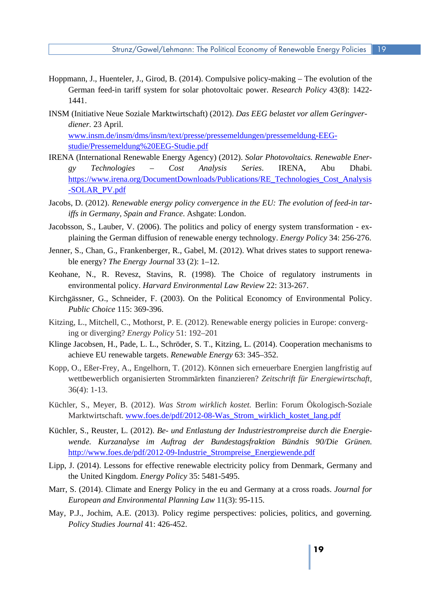- Hoppmann, J., Huenteler, J., Girod, B. (2014). Compulsive policy-making The evolution of the German feed-in tariff system for solar photovoltaic power. *Research Policy* 43(8): 1422 1441.
- INSM (Initiative Neue Soziale Marktwirtschaft) (2012). *Das EEG belastet vor allem Geringverdiener.* 23 April. www.insm.de/insm/dms/insm/text/presse/pressemeldungen/pressemeldung-EEG-

studie/Pressemeldung%20EEG-Studie.pdf studie/Pressemeldung%20EEG-Studie.pdf<br>IRENA (International Renewable Energy Agency) (2012). *Solar Photovoltaics. Renewable Ener-*

- -SOLAR\_PV.pdf *gy Technologies – Cost Analysis Series*. IRENA, Abu Dhabi. https://www.irena.org/DocumentDownloads/Publications/RE\_Technologies\_Cost\_Analysis
- Jacobs, D. (2012). *Renewable energy policy convergence in the EU: The evolution of feed-in tariffs in Germany, Spain and France*. Ashgate: London.
- Jacobsson, S., Lauber, V. (2006). The politics and policy of energy system transformation ex-plaining the German diffusion of renewable energy technology. *Energy Policy* 34: 256-276.
- Jenner, S., Chan, G., Frankenberger, R., Gabel, M. (2012). What drives states to support renewable energy? *The Energy Journal* 33 (2): 1–12.
- environmental policy. *Harvard Environmental Law Review* 22: 313-267. Keohane, N., R. Revesz, Stavins, R. (1998). The Choice of regulatory instruments in
- Kirchgässner, G., Schneider, F. (2003). On the Political Economcy of Environmental Policy. *Public Choice* 115: 369-396.
- Kitzing, L., Mitchell, C., Mothorst, P. E. (2012). Renewable energy policies in Europe: converging or diverging? *Energy Policy* 51: 192–201
- Klinge Jacobsen, H., Pade, L. L., Schröder, S. T., Kitzing, L. (2014). Cooperation mechanisms to achieve EU renewable targets. *Renewable Energy* 63: 345–352.
- Kopp, O., Eßer-Frey, A., Engelhorn, T. (2012). Können sich erneuerbare Energien langfristig auf wettbewerblich organisierten Strommärkten finanzieren? *Zeitschrift für Energiewirtschaft*, 36(4): 1-13.
- Marktwirtschaft. www.foes.de/pdf/2012-08-Was Strom wirklich kostet lang.pdf Küchler, S., Meyer, B. (2012). *Was Strom wirklich kostet.* Berlin: Forum Ökologisch-Soziale
- http://www.foes.de/pdf/2012-09-Industrie\_Strompreise\_Energiewende.pdf http://www.foes.de/pdf/2012-09-Industrie\_Strompreise\_Energiewende.pdf<br>Lipp, J. (2014). Lessons for effective renewable electricity policy from Denmark, Germany and Küchler, S., Reuster, L. (2012). *Be- und Entlastung der Industriestrompreise durch die Energiewende. Kurzanalyse im Auftrag der Bundestagsfraktion Bündnis 90/Die Grünen.*
- the United Kingdom. *Energy Policy* 35: 5481-5495.
- Marr, S. (2014). Climate and Energy Policy in the eu and Germany at a cross roads. *Journal for European and Environmental Planning Law* 11(3): 95-115.
- *Policy Studies Journal* 41: 426-452. May, P.J., Jochim, A.E. (2013). Policy regime perspectives: policies, politics, and governing*.*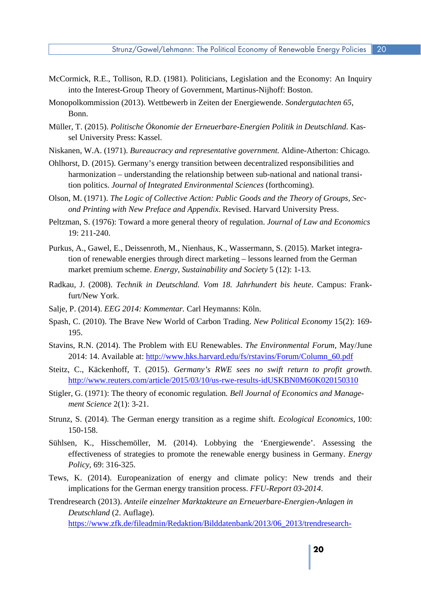- into the Interest-Group Theory of Government, Martinus-Nijhoff: Boston. McCormick, R.E., Tollison, R.D. (1981). Politicians, Legislation and the Economy: An Inquiry
- Monopolkommission (2013). Wettbewerb in Zeiten der Energiewende. *Sondergutachten 65*, Bonn.
- Müller, T. (2015). *Politische Ökonomie der Erneuerbare-Energien Politik in Deutschland*. Kassel University Press: Kassel.
- Niskanen, W.A. (1971). *Bureaucracy and representative government.* Aldine-Atherton: Chicago.
- Ohlhorst, D. (2015). Germany's energy transition between decentralized responsibilities and harmonization – understanding the relationship between sub-national and national transition politics. *Journal of Integrated Environmental Sciences* (forthcoming).
- Olson, M. (1971). *The Logic of Collective Action: Public Goods and the Theory of Groups, Second Printing with New Preface and Appendix*. Revised. Harvard University Press.
- Peltzman, S. (1976): Toward a more general theory of regulation. *Journal of Law and Economics*  19: 211-240.
- Purkus, A., Gawel, E., Deissenroth, M., Nienhaus, K., Wassermann, S. (2015). Market integration of renewable energies through direct marketing – lessons learned from the German market premium scheme. *Energy, Sustainability and Society* 5 (12): 1-13.
- Radkau, J. (2008). *Technik in Deutschland. Vom 18. Jahrhundert bis heute*. Campus: Frankfurt/New York.
- Salje, P. (2014). *EEG 2014: Kommentar.* Carl Heymanns: Köln.
- Spash, C. (2010). The Brave New World of Carbon Trading. *New Political Economy* 15(2): 169 195.
- 2014: 14. Available at: http://www.hks.harvard.edu/fs/rstavins/Forum/Column\_60.pdf Stavins, R.N. (2014). The Problem with EU Renewables. *The Environmental Forum*, May/June
- http://www.reuters.com/article/2015/03/10/us-rwe-results-idUSKBN0M60K020150310 Steitz, C., Käckenhoff, T. (2015). *Germany's RWE sees no swift return to profit growth*.
- Stigler, G. (1971): The theory of economic regulation. *Bell Journal of Economics and Management Science* 2(1): 3-21.
- Strunz, S. (2014). The German energy transition as a regime shift*. Ecological Economics*, 100: 150-158.
- *Policy*, 69: 316-325. Sühlsen, K., Hisschemöller, M. (2014). Lobbying the 'Energiewende'. Assessing the effectiveness of strategies to promote the renewable energy business in Germany. *Energy*
- Tews, K. (2014). Europeanization of energy and climate policy: New trends and their implications for the German energy transition process. *FFU-Report 03-2014*.

Deutschland (2. Auflage). Trendresearch (2013). *Anteile einzelner Marktakteure an Erneuerbare-Energien-Anlagen in Deutschland* (2. Auflage). https://www.zfk.de/fileadmin/Redaktion/Bilddatenbank/2013/06\_2013/trendresearch-